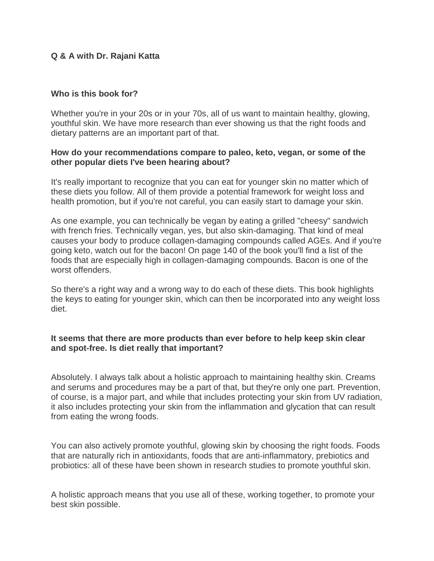# **Q & A with Dr. Rajani Katta**

## **Who is this book for?**

Whether you're in your 20s or in your 70s, all of us want to maintain healthy, glowing, youthful skin. We have more research than ever showing us that the right foods and dietary patterns are an important part of that.

## **How do your recommendations compare to paleo, keto, vegan, or some of the other popular diets I've been hearing about?**

It's really important to recognize that you can eat for younger skin no matter which of these diets you follow. All of them provide a potential framework for weight loss and health promotion, but if you're not careful, you can easily start to damage your skin.

As one example, you can technically be vegan by eating a grilled "cheesy" sandwich with french fries. Technically vegan, yes, but also skin-damaging. That kind of meal causes your body to produce collagen-damaging compounds called AGEs. And if you're going keto, watch out for the bacon! On page 140 of the book you'll find a list of the foods that are especially high in collagen-damaging compounds. Bacon is one of the worst offenders.

So there's a right way and a wrong way to do each of these diets. This book highlights the keys to eating for younger skin, which can then be incorporated into any weight loss diet.

# **It seems that there are more products than ever before to help keep skin clear and spot-free. Is diet really that important?**

Absolutely. I always talk about a holistic approach to maintaining healthy skin. Creams and serums and procedures may be a part of that, but they're only one part. Prevention, of course, is a major part, and while that includes protecting your skin from UV radiation, it also includes protecting your skin from the inflammation and glycation that can result from eating the wrong foods.

You can also actively promote youthful, glowing skin by choosing the right foods. Foods that are naturally rich in antioxidants, foods that are anti-inflammatory, prebiotics and probiotics: all of these have been shown in research studies to promote youthful skin.

A holistic approach means that you use all of these, working together, to promote your best skin possible.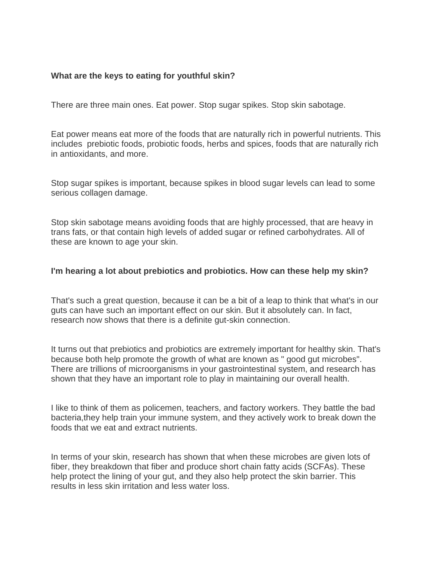# **What are the keys to eating for youthful skin?**

There are three main ones. Eat power. Stop sugar spikes. Stop skin sabotage.

Eat power means eat more of the foods that are naturally rich in powerful nutrients. This includes prebiotic foods, probiotic foods, herbs and spices, foods that are naturally rich in antioxidants, and more.

Stop sugar spikes is important, because spikes in blood sugar levels can lead to some serious collagen damage.

Stop skin sabotage means avoiding foods that are highly processed, that are heavy in trans fats, or that contain high levels of added sugar or refined carbohydrates. All of these are known to age your skin.

## **I'm hearing a lot about prebiotics and probiotics. How can these help my skin?**

That's such a great question, because it can be a bit of a leap to think that what's in our guts can have such an important effect on our skin. But it absolutely can. In fact, research now shows that there is a definite gut-skin connection.

It turns out that prebiotics and probiotics are extremely important for healthy skin. That's because both help promote the growth of what are known as " good gut microbes". There are trillions of microorganisms in your gastrointestinal system, and research has shown that they have an important role to play in maintaining our overall health.

I like to think of them as policemen, teachers, and factory workers. They battle the bad bacteria,they help train your immune system, and they actively work to break down the foods that we eat and extract nutrients.

In terms of your skin, research has shown that when these microbes are given lots of fiber, they breakdown that fiber and produce short chain fatty acids (SCFAs). These help protect the lining of your gut, and they also help protect the skin barrier. This results in less skin irritation and less water loss.